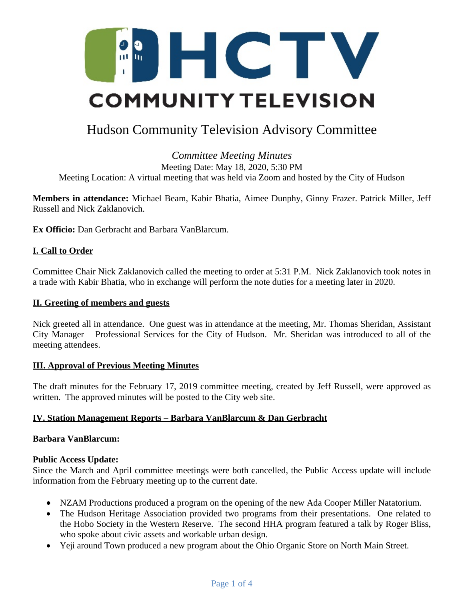

# Hudson Community Television Advisory Committee

## *Committee Meeting Minutes* Meeting Date: May 18, 2020, 5:30 PM Meeting Location: A virtual meeting that was held via Zoom and hosted by the City of Hudson

**Members in attendance:** Michael Beam, Kabir Bhatia, Aimee Dunphy, Ginny Frazer. Patrick Miller, Jeff Russell and Nick Zaklanovich.

**Ex Officio:** Dan Gerbracht and Barbara VanBlarcum.

## **I. Call to Order**

Committee Chair Nick Zaklanovich called the meeting to order at 5:31 P.M. Nick Zaklanovich took notes in a trade with Kabir Bhatia, who in exchange will perform the note duties for a meeting later in 2020.

#### **II. Greeting of members and guests**

Nick greeted all in attendance. One guest was in attendance at the meeting, Mr. Thomas Sheridan, Assistant City Manager – Professional Services for the City of Hudson. Mr. Sheridan was introduced to all of the meeting attendees.

## **III. Approval of Previous Meeting Minutes**

The draft minutes for the February 17, 2019 committee meeting, created by Jeff Russell, were approved as written. The approved minutes will be posted to the City web site.

## **IV. Station Management Reports – Barbara VanBlarcum & Dan Gerbracht**

## **Barbara VanBlarcum:**

## **Public Access Update:**

Since the March and April committee meetings were both cancelled, the Public Access update will include information from the February meeting up to the current date.

- NZAM Productions produced a program on the opening of the new Ada Cooper Miller Natatorium.
- The Hudson Heritage Association provided two programs from their presentations. One related to the Hobo Society in the Western Reserve. The second HHA program featured a talk by Roger Bliss, who spoke about civic assets and workable urban design.
- Yeji around Town produced a new program about the Ohio Organic Store on North Main Street.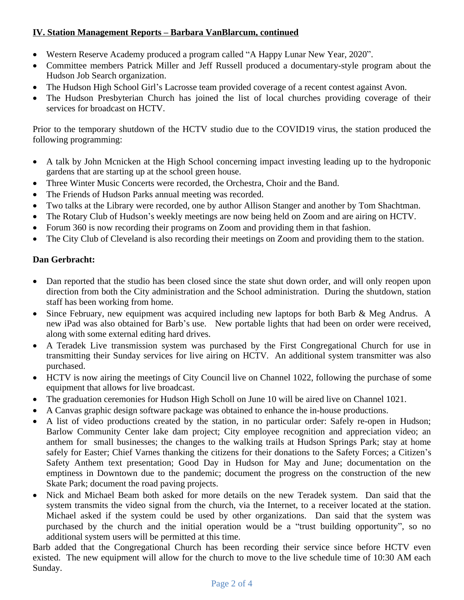# **IV. Station Management Reports – Barbara VanBlarcum, continued**

- Western Reserve Academy produced a program called "A Happy Lunar New Year, 2020".
- Committee members Patrick Miller and Jeff Russell produced a documentary-style program about the Hudson Job Search organization.
- The Hudson High School Girl's Lacrosse team provided coverage of a recent contest against Avon.
- The Hudson Presbyterian Church has joined the list of local churches providing coverage of their services for broadcast on HCTV.

Prior to the temporary shutdown of the HCTV studio due to the COVID19 virus, the station produced the following programming:

- A talk by John Mcnicken at the High School concerning impact investing leading up to the hydroponic gardens that are starting up at the school green house.
- Three Winter Music Concerts were recorded, the Orchestra, Choir and the Band.
- The Friends of Hudson Parks annual meeting was recorded.
- Two talks at the Library were recorded, one by author Allison Stanger and another by Tom Shachtman.
- The Rotary Club of Hudson's weekly meetings are now being held on Zoom and are airing on HCTV.
- Forum 360 is now recording their programs on Zoom and providing them in that fashion.
- The City Club of Cleveland is also recording their meetings on Zoom and providing them to the station.

# **Dan Gerbracht:**

- Dan reported that the studio has been closed since the state shut down order, and will only reopen upon direction from both the City administration and the School administration. During the shutdown, station staff has been working from home.
- Since February, new equipment was acquired including new laptops for both Barb & Meg Andrus. A new iPad was also obtained for Barb's use. New portable lights that had been on order were received, along with some external editing hard drives.
- A Teradek Live transmission system was purchased by the First Congregational Church for use in transmitting their Sunday services for live airing on HCTV. An additional system transmitter was also purchased.
- HCTV is now airing the meetings of City Council live on Channel 1022, following the purchase of some equipment that allows for live broadcast.
- The graduation ceremonies for Hudson High Scholl on June 10 will be aired live on Channel 1021.
- A Canvas graphic design software package was obtained to enhance the in-house productions.
- A list of video productions created by the station, in no particular order: Safely re-open in Hudson; Barlow Community Center lake dam project; City employee recognition and appreciation video; an anthem for small businesses; the changes to the walking trails at Hudson Springs Park; stay at home safely for Easter; Chief Varnes thanking the citizens for their donations to the Safety Forces; a Citizen's Safety Anthem text presentation; Good Day in Hudson for May and June; documentation on the emptiness in Downtown due to the pandemic; document the progress on the construction of the new Skate Park; document the road paving projects.
- Nick and Michael Beam both asked for more details on the new Teradek system. Dan said that the system transmits the video signal from the church, via the Internet, to a receiver located at the station. Michael asked if the system could be used by other organizations. Dan said that the system was purchased by the church and the initial operation would be a "trust building opportunity", so no additional system users will be permitted at this time.

Barb added that the Congregational Church has been recording their service since before HCTV even existed. The new equipment will allow for the church to move to the live schedule time of 10:30 AM each Sunday.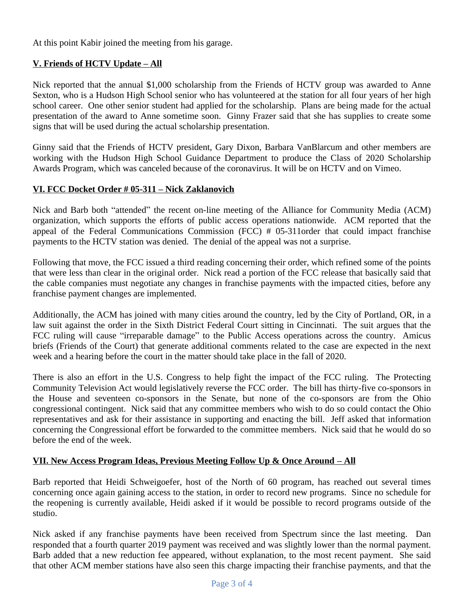At this point Kabir joined the meeting from his garage.

# **V. Friends of HCTV Update – All**

Nick reported that the annual \$1,000 scholarship from the Friends of HCTV group was awarded to Anne Sexton, who is a Hudson High School senior who has volunteered at the station for all four years of her high school career. One other senior student had applied for the scholarship. Plans are being made for the actual presentation of the award to Anne sometime soon. Ginny Frazer said that she has supplies to create some signs that will be used during the actual scholarship presentation.

Ginny said that the Friends of HCTV president, Gary Dixon, Barbara VanBlarcum and other members are working with the Hudson High School Guidance Department to produce the Class of 2020 Scholarship Awards Program, which was canceled because of the coronavirus. It will be on HCTV and on Vimeo.

# **VI. FCC Docket Order # 05-311 – Nick Zaklanovich**

Nick and Barb both "attended" the recent on-line meeting of the Alliance for Community Media (ACM) organization, which supports the efforts of public access operations nationwide. ACM reported that the appeal of the Federal Communications Commission (FCC) # 05-311order that could impact franchise payments to the HCTV station was denied. The denial of the appeal was not a surprise.

Following that move, the FCC issued a third reading concerning their order, which refined some of the points that were less than clear in the original order. Nick read a portion of the FCC release that basically said that the cable companies must negotiate any changes in franchise payments with the impacted cities, before any franchise payment changes are implemented.

Additionally, the ACM has joined with many cities around the country, led by the City of Portland, OR, in a law suit against the order in the Sixth District Federal Court sitting in Cincinnati. The suit argues that the FCC ruling will cause "irreparable damage" to the Public Access operations across the country. Amicus briefs (Friends of the Court) that generate additional comments related to the case are expected in the next week and a hearing before the court in the matter should take place in the fall of 2020.

There is also an effort in the U.S. Congress to help fight the impact of the FCC ruling. The Protecting Community Television Act would legislatively reverse the FCC order. The bill has thirty-five co-sponsors in the House and seventeen co-sponsors in the Senate, but none of the co-sponsors are from the Ohio congressional contingent. Nick said that any committee members who wish to do so could contact the Ohio representatives and ask for their assistance in supporting and enacting the bill. Jeff asked that information concerning the Congressional effort be forwarded to the committee members. Nick said that he would do so before the end of the week.

# **VII. New Access Program Ideas, Previous Meeting Follow Up & Once Around – All**

Barb reported that Heidi Schweigoefer, host of the North of 60 program, has reached out several times concerning once again gaining access to the station, in order to record new programs. Since no schedule for the reopening is currently available, Heidi asked if it would be possible to record programs outside of the studio.

Nick asked if any franchise payments have been received from Spectrum since the last meeting. Dan responded that a fourth quarter 2019 payment was received and was slightly lower than the normal payment. Barb added that a new reduction fee appeared, without explanation, to the most recent payment. She said that other ACM member stations have also seen this charge impacting their franchise payments, and that the